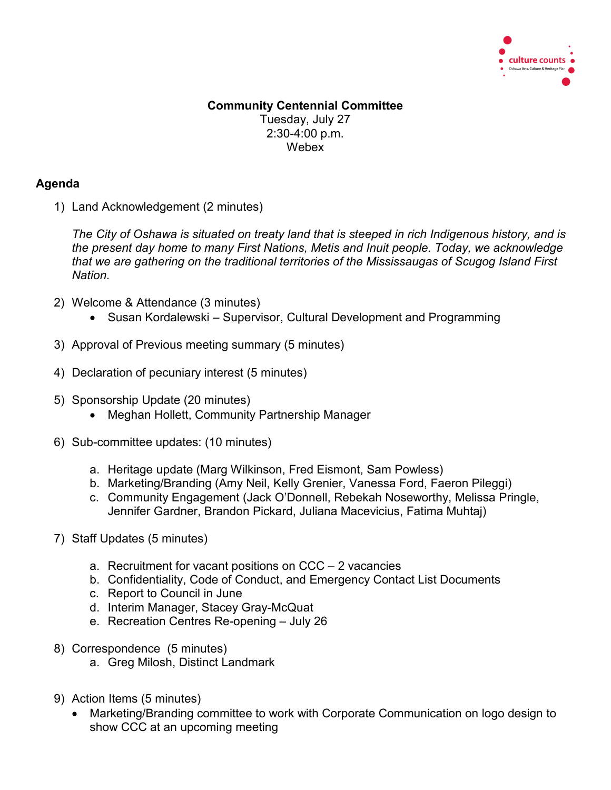

## **Community Centennial Committee** Tuesday, July 27 2:30-4:00 p.m. Webex

## **Agenda**

1) Land Acknowledgement (2 minutes)

*The City of Oshawa is situated on treaty land that is steeped in rich Indigenous history, and is the present day home to many First Nations, Metis and Inuit people. Today, we acknowledge that we are gathering on the traditional territories of the Mississaugas of Scugog Island First Nation.*

- 2) Welcome & Attendance (3 minutes)
	- Susan Kordalewski Supervisor, Cultural Development and Programming
- 3) Approval of Previous meeting summary (5 minutes)
- 4) Declaration of pecuniary interest (5 minutes)
- 5) Sponsorship Update (20 minutes)
	- Meghan Hollett, Community Partnership Manager
- 6) Sub-committee updates: (10 minutes)
	- a. Heritage update (Marg Wilkinson, Fred Eismont, Sam Powless)
	- b. Marketing/Branding (Amy Neil, Kelly Grenier, Vanessa Ford, Faeron Pileggi)
	- c. Community Engagement (Jack O'Donnell, Rebekah Noseworthy, Melissa Pringle, Jennifer Gardner, Brandon Pickard, Juliana Macevicius, Fatima Muhtaj)
- 7) Staff Updates (5 minutes)
	- a. Recruitment for vacant positions on CCC 2 vacancies
	- b. Confidentiality, Code of Conduct, and Emergency Contact List Documents
	- c. Report to Council in June
	- d. Interim Manager, Stacey Gray-McQuat
	- e. Recreation Centres Re-opening July 26
- 8) Correspondence (5 minutes)
	- a. Greg Milosh, Distinct Landmark
- 9) Action Items (5 minutes)
	- Marketing/Branding committee to work with Corporate Communication on logo design to show CCC at an upcoming meeting